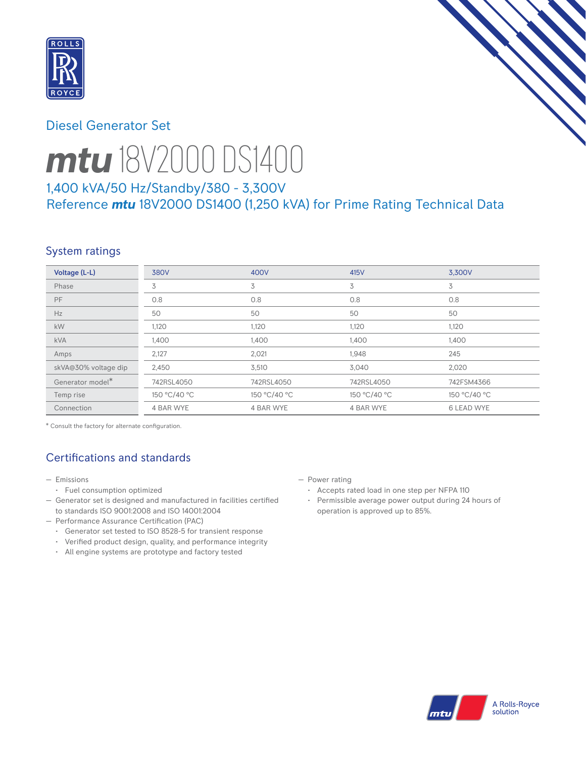

## Diesel Generator Set



# *mtu* 18V2000 DS1400

# 1,400 kVA/50 Hz/Standby/380 - 3,300V Reference *mtu* 18V2000 DS1400 (1,250 kVA) for Prime Rating Technical Data

## System ratings

| Voltage (L-L)        | <b>380V</b>  | 400V         | 415V         | 3.300V       |
|----------------------|--------------|--------------|--------------|--------------|
| Phase                | 3            | 3            | 3            | 3            |
| <b>PF</b>            | 0.8          | 0.8          | 0.8          | 0.8          |
| Hz                   | 50           | 50           | 50           | 50           |
| kW                   | 1,120        | 1,120        | 1,120        | 1,120        |
| <b>kVA</b>           | 1,400        | 1,400        | 1,400        | 1,400        |
| Amps                 | 2,127        | 2,021        | 1,948        | 245          |
| skVA@30% voltage dip | 2,450        | 3,510        | 3,040        | 2,020        |
| Generator model*     | 742RSL4050   | 742RSL4050   | 742RSL4050   | 742FSM4366   |
| Temp rise            | 150 °C/40 °C | 150 °C/40 °C | 150 °C/40 °C | 150 °C/40 °C |
| Connection           | 4 BAR WYE    | 4 BAR WYE    | 4 BAR WYE    | 6 LEAD WYE   |

\* Consult the factory for alternate configuration.

# Certifications and standards

#### — Emissions

- Fuel consumption optimized
- Generator set is designed and manufactured in facilities certified to standards ISO 9001:2008 and ISO 14001:2004
- Performance Assurance Certification (PAC)
	- Generator set tested to ISO 8528-5 for transient response
	- Verified product design, quality, and performance integrity
	- All engine systems are prototype and factory tested
- Power rating
	- Accepts rated load in one step per NFPA 110
	- Permissible average power output during 24 hours of operation is approved up to 85%.

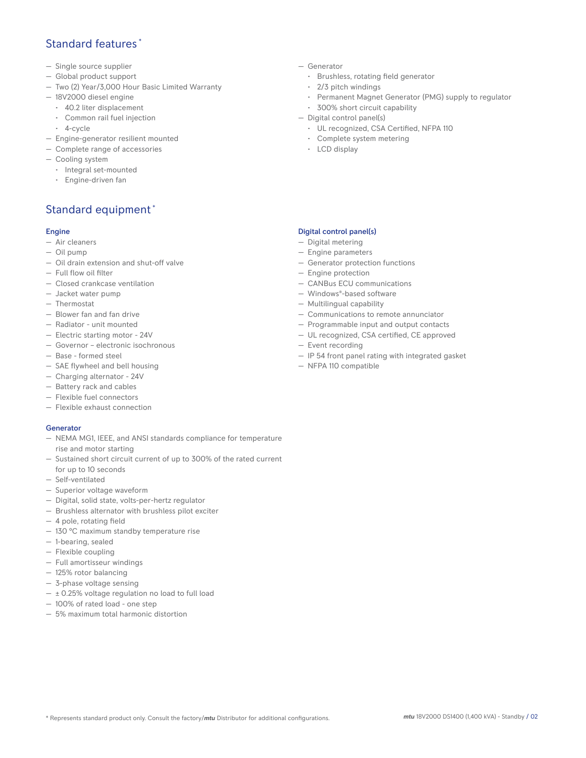## Standard features \*

- Single source supplier
- Global product support
- Two (2) Year/3,000 Hour Basic Limited Warranty
- 18V2000 diesel engine
	- 40.2 liter displacement
	- Common rail fuel injection
	- 4-cycle
- Engine-generator resilient mounted
- Complete range of accessories
- Cooling system
- Integral set-mounted
	- Engine-driven fan

## Standard equipment \*

#### Engine

- Air cleaners
- Oil pump
- Oil drain extension and shut-off valve
- Full flow oil filter
- Closed crankcase ventilation
- Jacket water pump
- Thermostat
- Blower fan and fan drive
- Radiator unit mounted
- Electric starting motor 24V
- Governor electronic isochronous
- Base formed steel
- SAE flywheel and bell housing
- Charging alternator 24V
- Battery rack and cables
- Flexible fuel connectors
- Flexible exhaust connection

#### Generator

- NEMA MG1, IEEE, and ANSI standards compliance for temperature rise and motor starting
- Sustained short circuit current of up to 300% of the rated current for up to 10 seconds
- Self-ventilated
- Superior voltage waveform
- Digital, solid state, volts-per-hertz regulator
- Brushless alternator with brushless pilot exciter
- 4 pole, rotating field
- 130 °C maximum standby temperature rise
- 1-bearing, sealed
- Flexible coupling
- Full amortisseur windings
- 125% rotor balancing
- 3-phase voltage sensing
- $\pm$  0.25% voltage regulation no load to full load
- 100% of rated load one step
- 5% maximum total harmonic distortion
- Generator
	- Brushless, rotating field generator
	- 2/3 pitch windings
	- Permanent Magnet Generator (PMG) supply to regulator
- 300% short circuit capability
- Digital control panel(s)
	- UL recognized, CSA Certified, NFPA 110
	- Complete system metering
	- LCD display

#### Digital control panel(s)

- Digital metering
- Engine parameters
- Generator protection functions
- Engine protection
- CANBus ECU communications
- Windows®-based software
- Multilingual capability
- Communications to remote annunciator
- Programmable input and output contacts
- UL recognized, CSA certified, CE approved
- Event recording
- IP 54 front panel rating with integrated gasket
- NFPA 110 compatible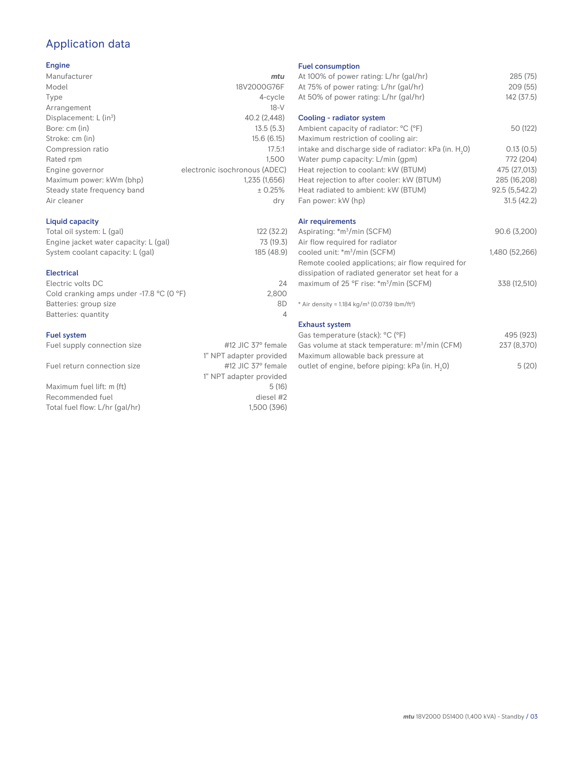# Application data

#### Engine

| Manufacturer                         | mtu                           |
|--------------------------------------|-------------------------------|
| Model                                | 18V2000G76F                   |
| Type                                 | 4-cycle                       |
| Arrangement                          | $18-V$                        |
| Displacement: $L$ (in <sup>3</sup> ) | 40.2 (2,448)                  |
| Bore: cm (in)                        | 13.5(5.3)                     |
| Stroke: cm (in)                      | 15.6(6.15)                    |
| Compression ratio                    | 17.5:1                        |
| Rated rpm                            | 1.500                         |
| Engine governor                      | electronic isochronous (ADEC) |
| Maximum power: kWm (bhp)             | 1,235 (1,656)                 |
| Steady state frequency band          | ± 0.25%                       |
| Air cleaner                          | dry                           |
|                                      |                               |

#### Liquid capacity

| Total oil system: L (gal)             | 122 (32.2) |
|---------------------------------------|------------|
| Engine jacket water capacity: L (gal) | 73 (19.3)  |
| System coolant capacity: L (gal)      | 185 (48.9) |

#### Electrical

| Electric volts DC                                            | 24    |
|--------------------------------------------------------------|-------|
| Cold cranking amps under -17.8 $^{\circ}$ C (O $^{\circ}$ F) | 2.800 |
| Batteries: group size                                        | 8D    |
| Batteries: quantity                                          |       |
|                                                              |       |

#### Fuel system

| Fuel supply connection size | #12 JIC $37^\circ$ female |
|-----------------------------|---------------------------|
|                             | 1" NPT adapter provided   |
| Fuel return connection size | #12 JIC 37° female        |
|                             | 1" NPT adapter provided   |

Maximum fuel lift: m (ft) 5 (16) Recommended fuel diesel #2<br>Total fuel flow: L/hr (gal/hr) diesel #2<br>1.500 (396) Total fuel flow: L/hr (gal/hr)

Fuel consumption

| r der consumption                                                     |                |
|-----------------------------------------------------------------------|----------------|
| At 100% of power rating: L/hr (gal/hr)                                | 285 (75)       |
| At 75% of power rating: L/hr (gal/hr)                                 | 209 (55)       |
| At 50% of power rating: L/hr (gal/hr)                                 | 142 (37.5)     |
| Cooling - radiator system                                             |                |
| Ambient capacity of radiator: °C (°F)                                 | 50 (122)       |
| Maximum restriction of cooling air:                                   |                |
| intake and discharge side of radiator: kPa (in. H <sub>2</sub> 0)     | 0.13(0.5)      |
| Water pump capacity: L/min (gpm)                                      | 772 (204)      |
| Heat rejection to coolant: kW (BTUM)                                  | 475 (27,013)   |
| Heat rejection to after cooler: kW (BTUM)                             | 285 (16,208)   |
| Heat radiated to ambient: kW (BTUM)                                   | 92.5 (5,542.2) |
| Fan power: kW (hp)                                                    | 31.5 (42.2)    |
| Air requirements                                                      |                |
| Aspirating: *m <sup>3</sup> /min (SCFM)                               | 90.6 (3,200)   |
| Air flow required for radiator                                        |                |
| cooled unit: *m <sup>3</sup> /min (SCFM)                              | 1,480 (52,266) |
| Remote cooled applications; air flow required for                     |                |
| dissipation of radiated generator set heat for a                      |                |
| maximum of 25 °F rise: *m <sup>3</sup> /min (SCFM)                    | 338 (12,510)   |
| * Air density = 1.184 kg/m <sup>3</sup> (0.0739 lbm/ft <sup>3</sup> ) |                |
| <b>Exhaust system</b>                                                 |                |
| Gas temperature (stack): °C (°F)                                      | 495 (923)      |
| Gas volume at stack temperature: m <sup>3</sup> /min (CFM)            | 237 (8,370)    |
| Maximum allowable back pressure at                                    |                |

outlet of engine, before piping: kPa (in.  $H_2O$ )

0) 5 (20)